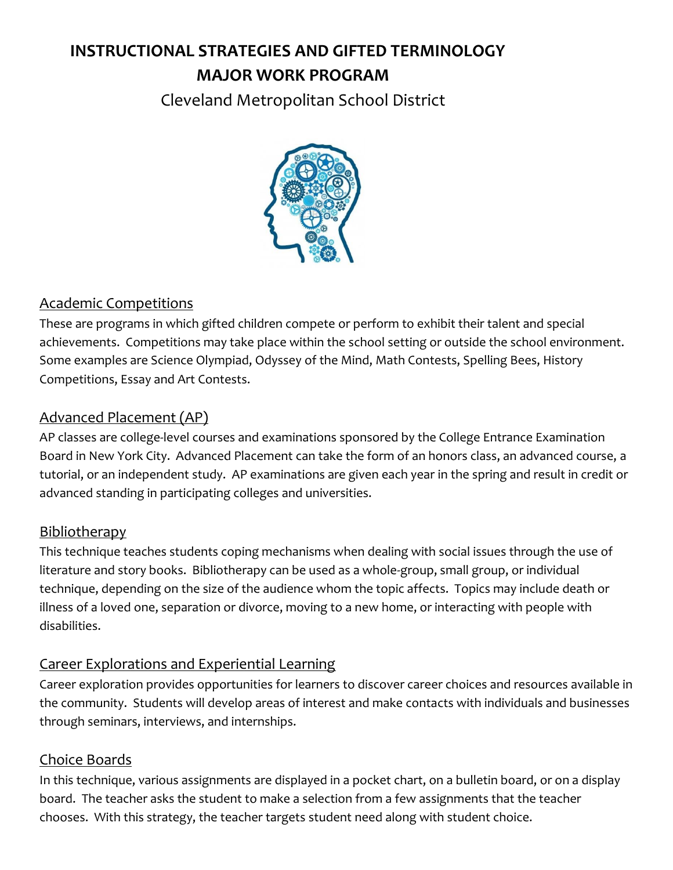# **INSTRUCTIONAL STRATEGIES AND GIFTED TERMINOLOGY MAJOR WORK PROGRAM**

Cleveland Metropolitan School District



## Academic Competitions

These are programs in which gifted children compete or perform to exhibit their talent and special achievements. Competitions may take place within the school setting or outside the school environment. Some examples are Science Olympiad, Odyssey of the Mind, Math Contests, Spelling Bees, History Competitions, Essay and Art Contests.

## Advanced Placement (AP)

AP classes are college-level courses and examinations sponsored by the College Entrance Examination Board in New York City. Advanced Placement can take the form of an honors class, an advanced course, a tutorial, or an independent study. AP examinations are given each year in the spring and result in credit or advanced standing in participating colleges and universities.

### Bibliotherapy

This technique teaches students coping mechanisms when dealing with social issues through the use of literature and story books. Bibliotherapy can be used as a whole-group, small group, or individual technique, depending on the size of the audience whom the topic affects. Topics may include death or illness of a loved one, separation or divorce, moving to a new home, or interacting with people with disabilities.

## Career Explorations and Experiential Learning

Career exploration provides opportunities for learners to discover career choices and resources available in the community. Students will develop areas of interest and make contacts with individuals and businesses through seminars, interviews, and internships.

### Choice Boards

In this technique, various assignments are displayed in a pocket chart, on a bulletin board, or on a display board. The teacher asks the student to make a selection from a few assignments that the teacher chooses. With this strategy, the teacher targets student need along with student choice.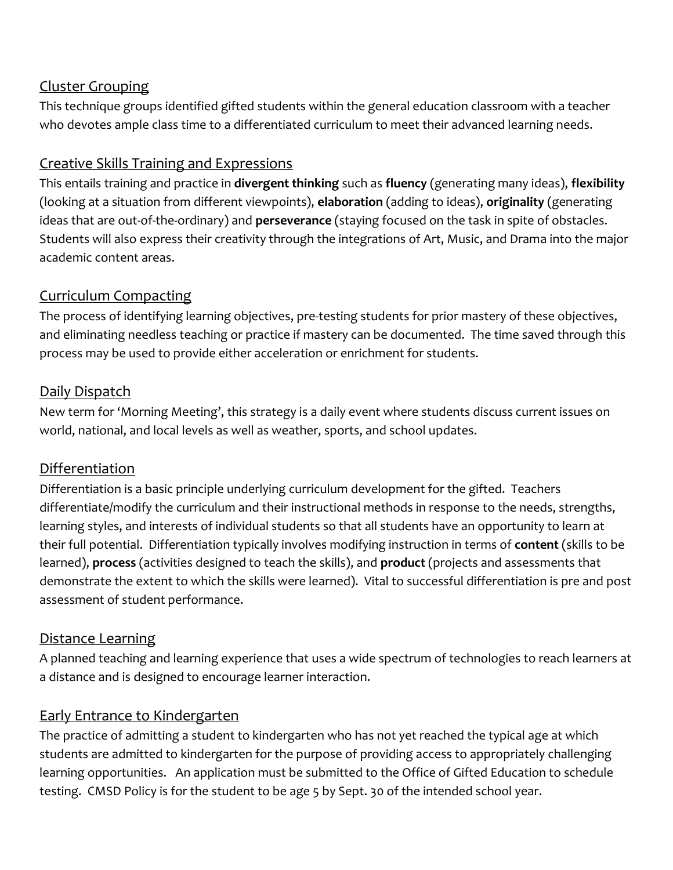## Cluster Grouping

This technique groups identified gifted students within the general education classroom with a teacher who devotes ample class time to a differentiated curriculum to meet their advanced learning needs.

# Creative Skills Training and Expressions

This entails training and practice in **divergent thinking** such as **fluency** (generating many ideas), **flexibility** (looking at a situation from different viewpoints), **elaboration** (adding to ideas), **originality** (generating ideas that are out-of-the-ordinary) and **perseverance** (staying focused on the task in spite of obstacles. Students will also express their creativity through the integrations of Art, Music, and Drama into the major academic content areas.

## Curriculum Compacting

The process of identifying learning objectives, pre-testing students for prior mastery of these objectives, and eliminating needless teaching or practice if mastery can be documented. The time saved through this process may be used to provide either acceleration or enrichment for students.

# Daily Dispatch

New term for 'Morning Meeting', this strategy is a daily event where students discuss current issues on world, national, and local levels as well as weather, sports, and school updates.

# Differentiation

Differentiation is a basic principle underlying curriculum development for the gifted. Teachers differentiate/modify the curriculum and their instructional methods in response to the needs, strengths, learning styles, and interests of individual students so that all students have an opportunity to learn at their full potential. Differentiation typically involves modifying instruction in terms of **content** (skills to be learned), **process** (activities designed to teach the skills), and **product** (projects and assessments that demonstrate the extent to which the skills were learned). Vital to successful differentiation is pre and post assessment of student performance.

## Distance Learning

A planned teaching and learning experience that uses a wide spectrum of technologies to reach learners at a distance and is designed to encourage learner interaction.

## Early Entrance to Kindergarten

The practice of admitting a student to kindergarten who has not yet reached the typical age at which students are admitted to kindergarten for the purpose of providing access to appropriately challenging learning opportunities. An application must be submitted to the Office of Gifted Education to schedule testing. CMSD Policy is for the student to be age 5 by Sept. 30 of the intended school year.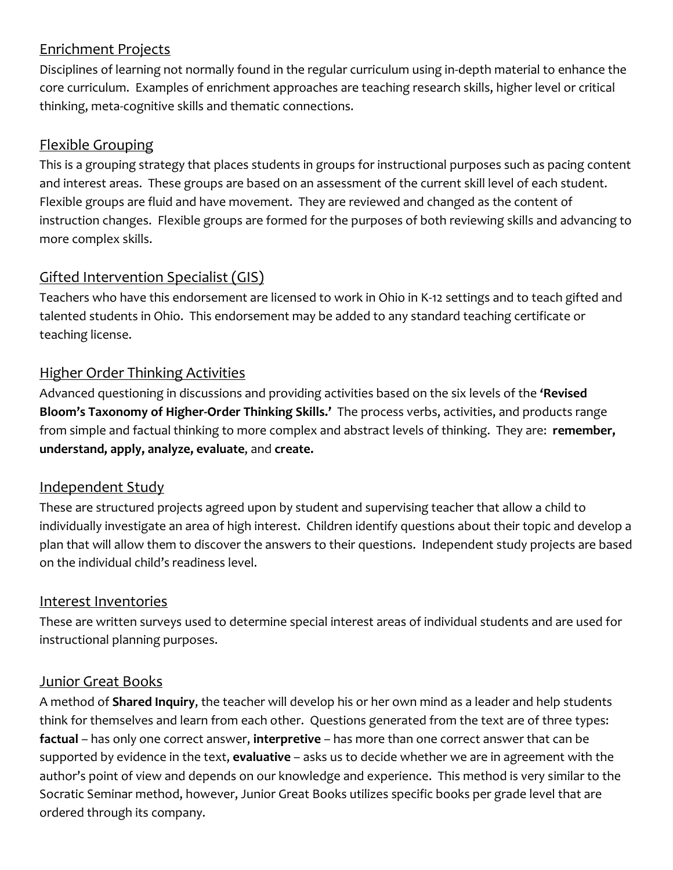## Enrichment Projects

Disciplines of learning not normally found in the regular curriculum using in-depth material to enhance the core curriculum. Examples of enrichment approaches are teaching research skills, higher level or critical thinking, meta-cognitive skills and thematic connections.

## Flexible Grouping

This is a grouping strategy that places students in groups for instructional purposes such as pacing content and interest areas. These groups are based on an assessment of the current skill level of each student. Flexible groups are fluid and have movement. They are reviewed and changed as the content of instruction changes. Flexible groups are formed for the purposes of both reviewing skills and advancing to more complex skills.

## Gifted Intervention Specialist (GIS)

Teachers who have this endorsement are licensed to work in Ohio in K-12 settings and to teach gifted and talented students in Ohio. This endorsement may be added to any standard teaching certificate or teaching license.

# Higher Order Thinking Activities

Advanced questioning in discussions and providing activities based on the six levels of the **'Revised Bloom's Taxonomy of Higher-Order Thinking Skills.'** The process verbs, activities, and products range from simple and factual thinking to more complex and abstract levels of thinking. They are: **remember, understand, apply, analyze, evaluate**, and **create.**

## Independent Study

These are structured projects agreed upon by student and supervising teacher that allow a child to individually investigate an area of high interest. Children identify questions about their topic and develop a plan that will allow them to discover the answers to their questions. Independent study projects are based on the individual child's readiness level.

### Interest Inventories

These are written surveys used to determine special interest areas of individual students and are used for instructional planning purposes.

## Junior Great Books

A method of **Shared Inquiry**, the teacher will develop his or her own mind as a leader and help students think for themselves and learn from each other. Questions generated from the text are of three types: **factual** – has only one correct answer, **interpretive** – has more than one correct answer that can be supported by evidence in the text, **evaluative** – asks us to decide whether we are in agreement with the author's point of view and depends on our knowledge and experience. This method is very similar to the Socratic Seminar method, however, Junior Great Books utilizes specific books per grade level that are ordered through its company.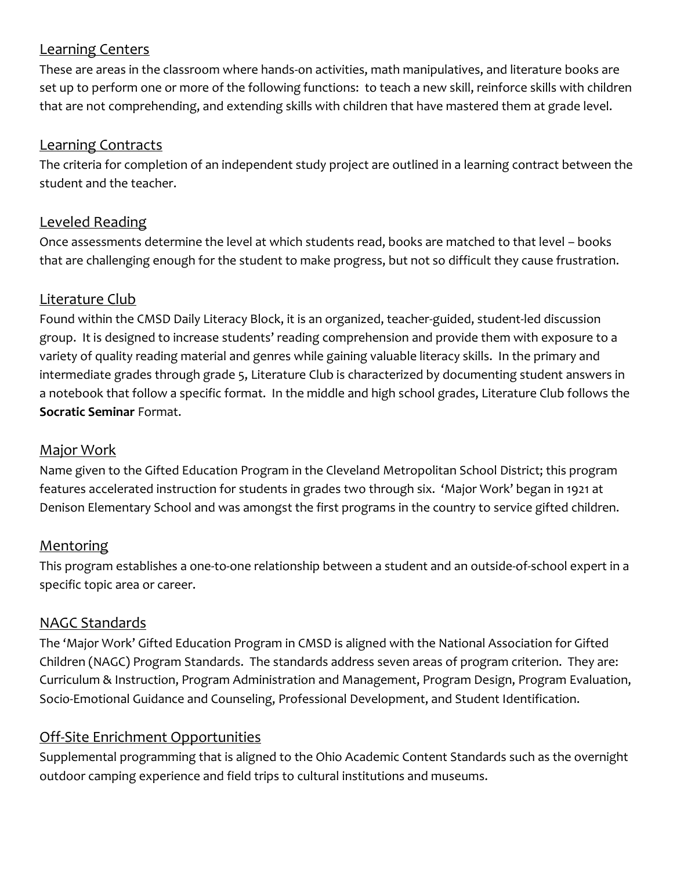## Learning Centers

These are areas in the classroom where hands-on activities, math manipulatives, and literature books are set up to perform one or more of the following functions: to teach a new skill, reinforce skills with children that are not comprehending, and extending skills with children that have mastered them at grade level.

#### Learning Contracts

The criteria for completion of an independent study project are outlined in a learning contract between the student and the teacher.

### Leveled Reading

Once assessments determine the level at which students read, books are matched to that level – books that are challenging enough for the student to make progress, but not so difficult they cause frustration.

#### Literature Club

Found within the CMSD Daily Literacy Block, it is an organized, teacher-guided, student-led discussion group. It is designed to increase students' reading comprehension and provide them with exposure to a variety of quality reading material and genres while gaining valuable literacy skills. In the primary and intermediate grades through grade 5, Literature Club is characterized by documenting student answers in a notebook that follow a specific format. In the middle and high school grades, Literature Club follows the **Socratic Seminar** Format.

#### Major Work

Name given to the Gifted Education Program in the Cleveland Metropolitan School District; this program features accelerated instruction for students in grades two through six. 'Major Work' began in 1921 at Denison Elementary School and was amongst the first programs in the country to service gifted children.

### **Mentoring**

This program establishes a one-to-one relationship between a student and an outside-of-school expert in a specific topic area or career.

### NAGC Standards

The 'Major Work' Gifted Education Program in CMSD is aligned with the National Association for Gifted Children (NAGC) Program Standards. The standards address seven areas of program criterion. They are: Curriculum & Instruction, Program Administration and Management, Program Design, Program Evaluation, Socio-Emotional Guidance and Counseling, Professional Development, and Student Identification.

### Off-Site Enrichment Opportunities

Supplemental programming that is aligned to the Ohio Academic Content Standards such as the overnight outdoor camping experience and field trips to cultural institutions and museums.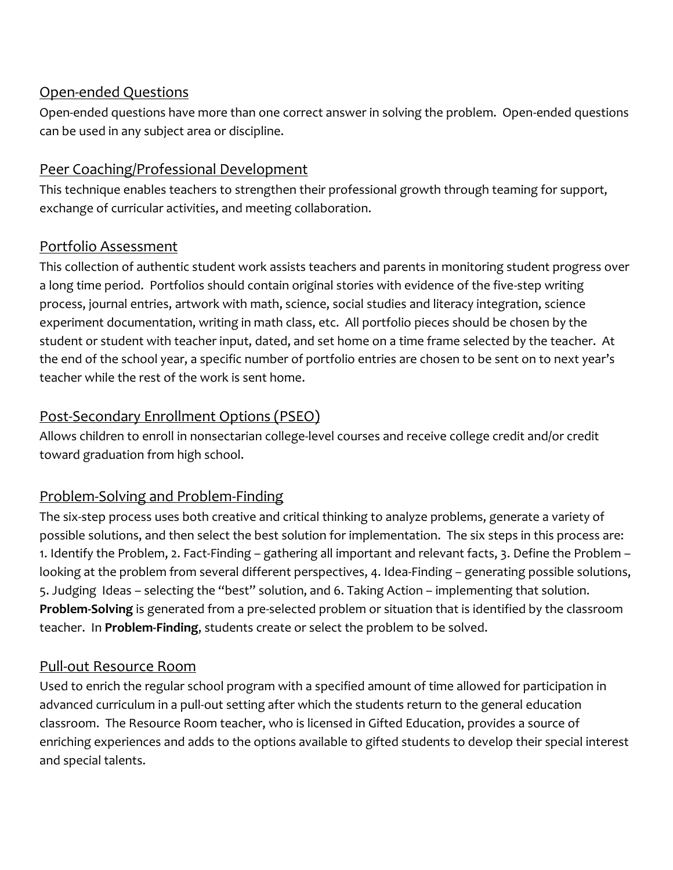## Open-ended Questions

Open-ended questions have more than one correct answer in solving the problem. Open-ended questions can be used in any subject area or discipline.

## Peer Coaching/Professional Development

This technique enables teachers to strengthen their professional growth through teaming for support, exchange of curricular activities, and meeting collaboration.

## Portfolio Assessment

This collection of authentic student work assists teachers and parents in monitoring student progress over a long time period. Portfolios should contain original stories with evidence of the five-step writing process, journal entries, artwork with math, science, social studies and literacy integration, science experiment documentation, writing in math class, etc. All portfolio pieces should be chosen by the student or student with teacher input, dated, and set home on a time frame selected by the teacher. At the end of the school year, a specific number of portfolio entries are chosen to be sent on to next year's teacher while the rest of the work is sent home.

# Post-Secondary Enrollment Options (PSEO)

Allows children to enroll in nonsectarian college-level courses and receive college credit and/or credit toward graduation from high school.

## Problem-Solving and Problem-Finding

The six-step process uses both creative and critical thinking to analyze problems, generate a variety of possible solutions, and then select the best solution for implementation. The six steps in this process are: 1. Identify the Problem, 2. Fact-Finding – gathering all important and relevant facts, 3. Define the Problem – looking at the problem from several different perspectives, 4. Idea-Finding – generating possible solutions, 5. Judging Ideas – selecting the "best" solution, and 6. Taking Action – implementing that solution. **Problem-Solving** is generated from a pre-selected problem or situation that is identified by the classroom teacher. In **Problem-Finding**, students create or select the problem to be solved.

## Pull-out Resource Room

Used to enrich the regular school program with a specified amount of time allowed for participation in advanced curriculum in a pull-out setting after which the students return to the general education classroom. The Resource Room teacher, who is licensed in Gifted Education, provides a source of enriching experiences and adds to the options available to gifted students to develop their special interest and special talents.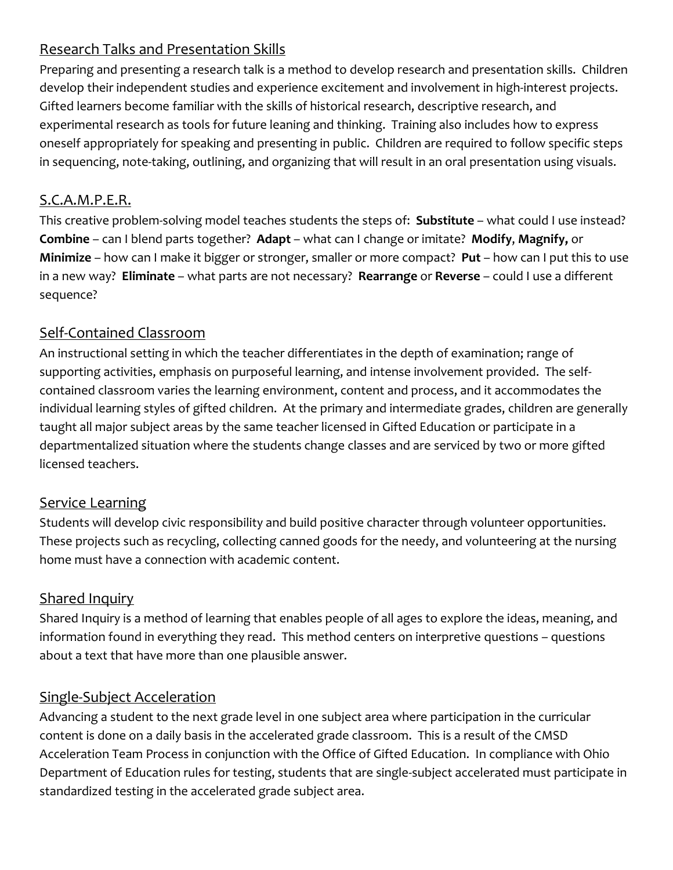# Research Talks and Presentation Skills

Preparing and presenting a research talk is a method to develop research and presentation skills. Children develop their independent studies and experience excitement and involvement in high-interest projects. Gifted learners become familiar with the skills of historical research, descriptive research, and experimental research as tools for future leaning and thinking. Training also includes how to express oneself appropriately for speaking and presenting in public. Children are required to follow specific steps in sequencing, note-taking, outlining, and organizing that will result in an oral presentation using visuals.

## S.C.A.M.P.E.R.

This creative problem-solving model teaches students the steps of: **Substitute** – what could I use instead? **Combine** – can I blend parts together? **Adapt** – what can I change or imitate? **Modify**, **Magnify,** or **Minimize** – how can I make it bigger or stronger, smaller or more compact? **Put** – how can I put this to use in a new way? **Eliminate** – what parts are not necessary? **Rearrange** or **Reverse** – could I use a different sequence?

## Self-Contained Classroom

An instructional setting in which the teacher differentiates in the depth of examination; range of supporting activities, emphasis on purposeful learning, and intense involvement provided. The selfcontained classroom varies the learning environment, content and process, and it accommodates the individual learning styles of gifted children. At the primary and intermediate grades, children are generally taught all major subject areas by the same teacher licensed in Gifted Education or participate in a departmentalized situation where the students change classes and are serviced by two or more gifted licensed teachers.

## Service Learning

Students will develop civic responsibility and build positive character through volunteer opportunities. These projects such as recycling, collecting canned goods for the needy, and volunteering at the nursing home must have a connection with academic content.

### Shared Inquiry

Shared Inquiry is a method of learning that enables people of all ages to explore the ideas, meaning, and information found in everything they read. This method centers on interpretive questions – questions about a text that have more than one plausible answer.

### Single-Subject Acceleration

Advancing a student to the next grade level in one subject area where participation in the curricular content is done on a daily basis in the accelerated grade classroom. This is a result of the CMSD Acceleration Team Process in conjunction with the Office of Gifted Education. In compliance with Ohio Department of Education rules for testing, students that are single-subject accelerated must participate in standardized testing in the accelerated grade subject area.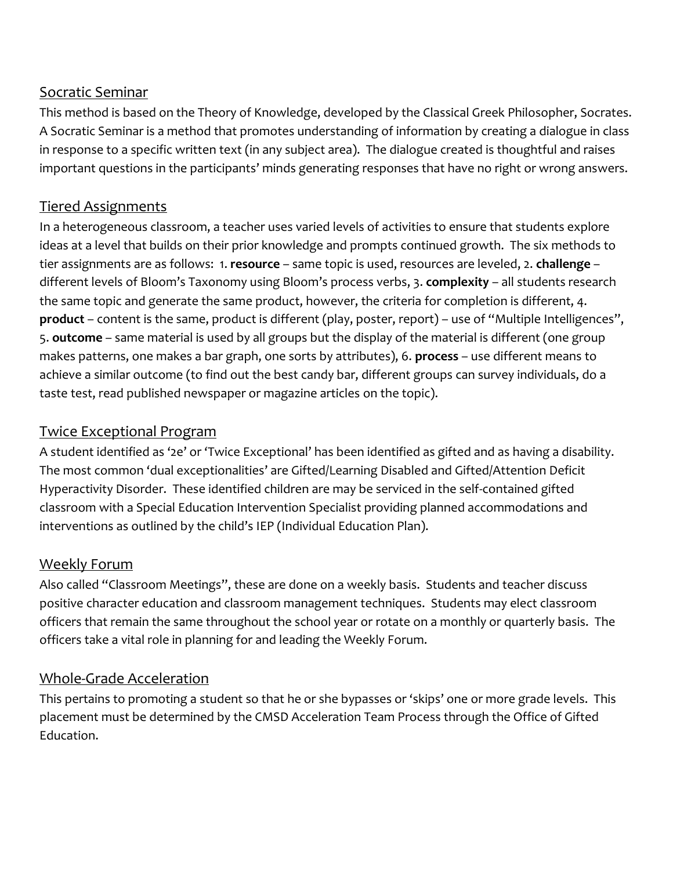## Socratic Seminar

This method is based on the Theory of Knowledge, developed by the Classical Greek Philosopher, Socrates. A Socratic Seminar is a method that promotes understanding of information by creating a dialogue in class in response to a specific written text (in any subject area). The dialogue created is thoughtful and raises important questions in the participants' minds generating responses that have no right or wrong answers.

## Tiered Assignments

In a heterogeneous classroom, a teacher uses varied levels of activities to ensure that students explore ideas at a level that builds on their prior knowledge and prompts continued growth. The six methods to tier assignments are as follows: 1. **resource** – same topic is used, resources are leveled, 2. **challenge** – different levels of Bloom's Taxonomy using Bloom's process verbs, 3. **complexity** – all students research the same topic and generate the same product, however, the criteria for completion is different, 4. **product** – content is the same, product is different (play, poster, report) – use of "Multiple Intelligences", 5. **outcome** – same material is used by all groups but the display of the material is different (one group makes patterns, one makes a bar graph, one sorts by attributes), 6. **process** – use different means to achieve a similar outcome (to find out the best candy bar, different groups can survey individuals, do a taste test, read published newspaper or magazine articles on the topic).

#### Twice Exceptional Program

A student identified as '2e' or 'Twice Exceptional' has been identified as gifted and as having a disability. The most common 'dual exceptionalities' are Gifted/Learning Disabled and Gifted/Attention Deficit Hyperactivity Disorder. These identified children are may be serviced in the self-contained gifted classroom with a Special Education Intervention Specialist providing planned accommodations and interventions as outlined by the child's IEP (Individual Education Plan).

### Weekly Forum

Also called "Classroom Meetings", these are done on a weekly basis. Students and teacher discuss positive character education and classroom management techniques. Students may elect classroom officers that remain the same throughout the school year or rotate on a monthly or quarterly basis. The officers take a vital role in planning for and leading the Weekly Forum.

### Whole-Grade Acceleration

This pertains to promoting a student so that he or she bypasses or 'skips' one or more grade levels. This placement must be determined by the CMSD Acceleration Team Process through the Office of Gifted Education.